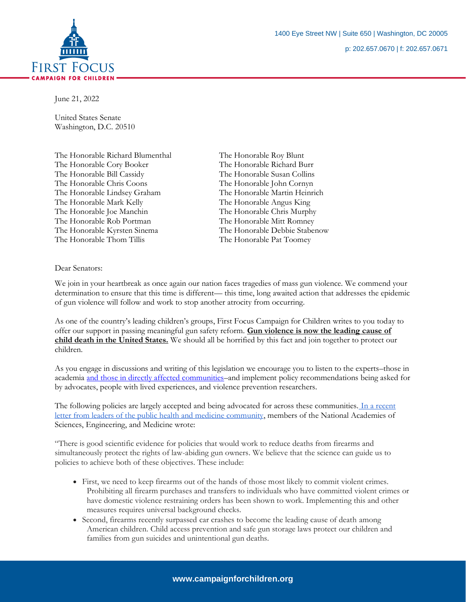

June 21, 2022

United States Senate Washington, D.C. 20510

The Honorable Richard Blumenthal The Honorable Roy Blunt The Honorable Cory Booker The Honorable Richard Burr The Honorable Bill Cassidy The Honorable Susan Collins The Honorable Chris Coons The Honorable John Cornyn The Honorable Lindsey Graham The Honorable Martin Heinrich The Honorable Mark Kelly The Honorable Angus King The Honorable Joe Manchin The Honorable Chris Murphy The Honorable Rob Portman The Honorable Mitt Romney The Honorable Kyrsten Sinema The Honorable Debbie Stabenow The Honorable Thom Tillis The Honorable Pat Toomey

## Dear Senators:

We join in your heartbreak as once again our nation faces tragedies of mass gun violence. We commend your determination to ensure that this time is different— this time, long awaited action that addresses the epidemic of gun violence will follow and work to stop another atrocity from occurring.

As one of the country's leading children's groups, First Focus Campaign for Children writes to you today to offer our support in passing meaningful gun safety reform. **Gun violence is now the leading cause of child death in the United States.** We should all be horrified by this fact and join together to protect our children.

As you engage in discussions and writing of this legislation we encourage you to listen to the experts–those in academia [and those in directly affected communities](https://marchforourlives.com/wp-content/uploads/2021/08/It-Ends-With-Us-March-For-Our-Lives.pdf)–and implement policy recommendations being asked for by advocates, people with lived experiences, and violence prevention researchers.

The following policies are largely accepted and being advocated for across these communities. In a recent [letter from leaders of the public health and medicine community,](https://www.healthandscienceleadersletter.org/) members of the National Academies of Sciences, Engineering, and Medicine wrote:

"There is good scientific evidence for policies that would work to reduce deaths from firearms and simultaneously protect the rights of law-abiding gun owners. We believe that the science can guide us to policies to achieve both of these objectives. These include:

- First, we need to keep firearms out of the hands of those most likely to commit violent crimes. Prohibiting all firearm purchases and transfers to individuals who have committed violent crimes or have domestic violence restraining orders has been shown to work. Implementing this and other measures requires universal background checks.
- Second, firearms recently surpassed car crashes to become the leading cause of death among American children. Child access prevention and safe gun storage laws protect our children and families from gun suicides and unintentional gun deaths.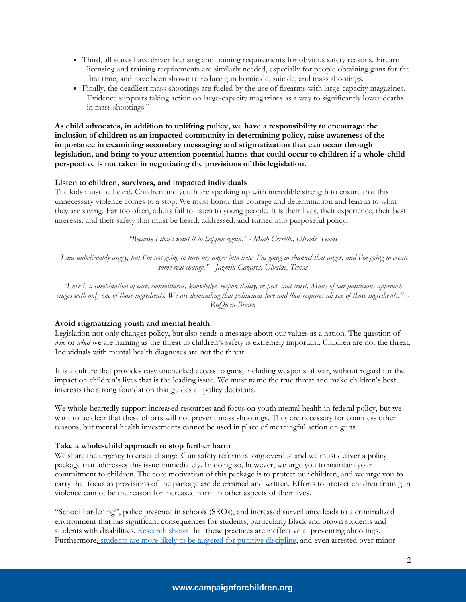- Third, all states have driver licensing and training requirements for obvious safety reasons. Firearm licensing and training requirements are similarly needed, especially for people obtaining guns for the first time, and have been shown to reduce gun homicide, suicide, and mass shootings.
- Finally, the deadliest mass shootings are fueled by the use of firearms with large-capacity magazines. Evidence supports taking action on large-capacity magazines as a way to significantly lower deaths in mass shootings."

**As child advocates, in addition to uplifting policy, we have a responsibility to encourage the inclusion of children as an impacted community in determining policy, raise awareness of the importance in examining secondary messaging and stigmatization that can occur through legislation, and bring to your attention potential harms that could occur to children if a whole-child perspective is not taken in negotiating the provisions of this legislation.**

## **Listen to children, survivors, and impacted individuals**

The kids must be heard. Children and youth are speaking up with incredible strength to ensure that this unnecessary violence comes to a stop. We must honor this courage and determination and lean in to what they are saying. Far too often, adults fail to listen to young people. It is their lives, their experience, their best interests, and their safety that must be heard, addressed, and turned into purposeful policy.

*"Because I don't want it to happen again." - Miah Cerrillo, Ulvade, Texas*

*"I am unbelievably angry, but I'm not going to turn my anger into hate. I'm going to channel that anger, and I'm going to create some real change." - Jazmin Cazares, Ulvalde, Texas*

*"Love is a combination of care, commitment, knowledge, responsibility, respect, and trust. Many of our politicians approach stages with only one of those ingredients. We are demanding that politicians love and that requires all six of those ingredients." - RuQuan Brown*

## **Avoid stigmatizing youth and mental health**

Legislation not only changes policy, but also sends a message about our values as a nation. The question of *who* or *what* we are naming as the threat to children's safety is extremely important. Children are not the threat. Individuals with mental health diagnoses are not the threat.

It is a culture that provides easy unchecked access to guns, including weapons of war, without regard for the impact on children's lives that is the leading issue. We must name the true threat and make children's best interests the strong foundation that guides all policy decisions.

We whole-heartedly support increased resources and focus on youth mental health in federal policy, but we want to be clear that these efforts will not prevent mass shootings. They are necessary for countless other reasons, but mental health investments cannot be used in place of meaningful action on guns.

## **Take a whole-child approach to stop further harm**

We share the urgency to enact change. Gun safety reform is long overdue and we must deliver a policy package that addresses this issue immediately. In doing so, however, we urge you to maintain your commitment to children. The core motivation of this package is to protect our children, and we urge you to carry that focus as provisions of the package are determined and written. Efforts to protect children from gun violence cannot be the reason for increased harm in other aspects of their lives.

"School hardening", police presence in schools (SROs), and increased surveillance leads to a criminalized environment that has significant consequences for students, particularly Black and brown students and students with disabilities. [Research shows](https://www.politico.com/story/2018/03/01/school-shootings-security-guns-431424) that these practices are ineffective at preventing shootings. Furthermore, [students are more likely to be targeted for punitive discipline,](https://www.aclu-wa.org/story/school-resource-officers-when-cure-worse-disease) and even arrested over minor